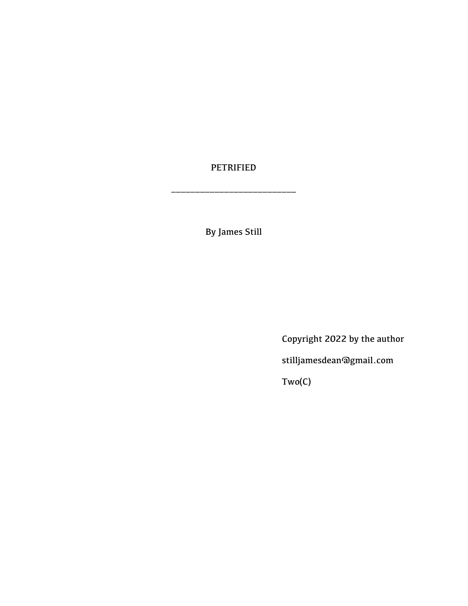## PETRIFIED

\_\_\_\_\_\_\_\_\_\_\_\_\_\_\_\_\_\_\_\_\_\_\_\_\_\_

By James Still

Copyright 2022 by the author

stilljamesdean@gmail.com

Two(C)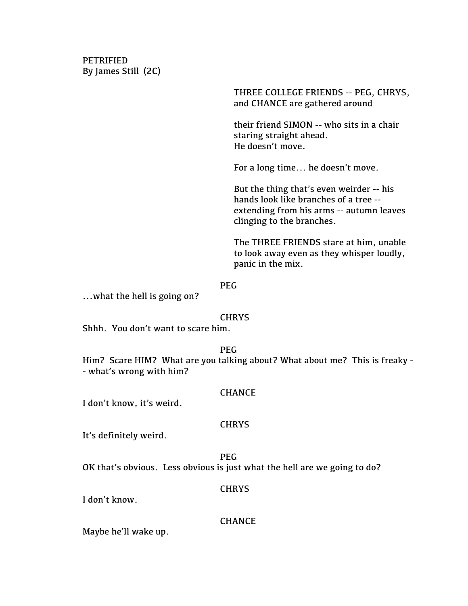PETRIFIED By James Still (2C)

> THREE COLLEGE FRIENDS -- PEG, CHRYS, and CHANCE are gathered around

their friend SIMON -- who sits in a chair staring straight ahead. He doesn't move.

For a long time... he doesn't move.

But the thing that's even weirder -- his hands look like branches of a tree - extending from his arms -- autumn leaves clinging to the branches.

The THREE FRIENDS stare at him, unable to look away even as they whisper loudly, panic in the mix.

#### PEG

...what the hell is going on?

#### **CHRYS**

Shhh. You don't want to scare him.

#### PEG

Him? Scare HIM? What are you talking about? What about me? This is freaky - - what's wrong with him?

#### **CHANCE**

I don't know, it's weird.

#### **CHRYS**

It's definitely weird.

PEG

OK that's obvious. Less obvious is just what the hell are we going to do?

#### **CHRYS**

I don't know.

#### **CHANCE**

Maybe he'll wake up.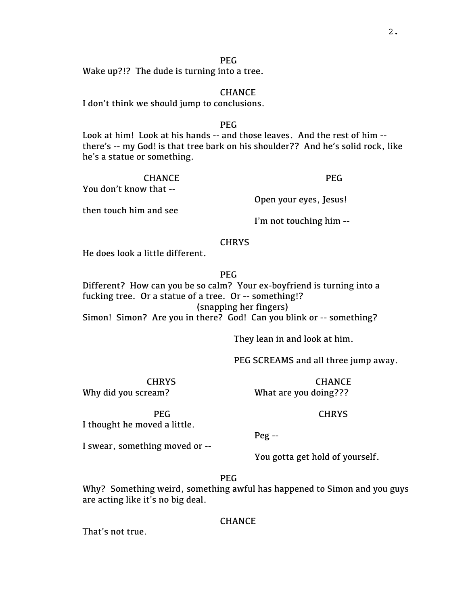PEG

Wake up?!? The dude is turning into a tree.

#### CHANCE

I don't think we should jump to conclusions.

#### PEG

Look at him! Look at his hands -- and those leaves. And the rest of him - there's -- my God! is that tree bark on his shoulder?? And he's solid rock, like he's a statue or something.

CHANCE You don't know that --

PEG

Open your eyes, Jesus!

then touch him and see

I'm not touching him --

#### **CHRYS**

He does look a little different.

PEG

Different? How can you be so calm? Your ex-boyfriend is turning into a fucking tree. Or a statue of a tree. Or -- something!? (snapping her fingers) Simon! Simon? Are you in there? God! Can you blink or -- something?

They lean in and look at him.

PEG SCREAMS and all three jump away.

CHRYS Why did you scream?

CHANCE What are you doing???

PEG I thought he moved a little.

Peg --

I swear, something moved or --

You gotta get hold of yourself.

PEG

Why? Something weird, something awful has happened to Simon and you guys are acting like it's no big deal.

#### **CHANCE**

That's not true.

# **CHRYS**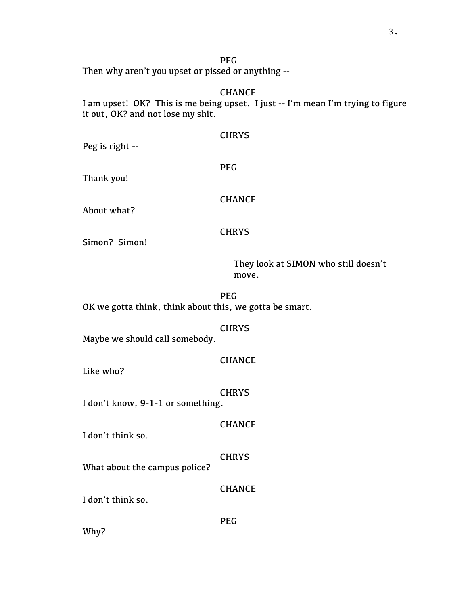PEG Then why aren't you upset or pissed or anything --

CHANCE I am upset! OK? This is me being upset. I just -- I'm mean I'm trying to figure it out, OK? and not lose my shit.

**CHRYS** 

| Peg is right --                                         |                                               |
|---------------------------------------------------------|-----------------------------------------------|
| Thank you!                                              | <b>PEG</b>                                    |
| About what?                                             | <b>CHANCE</b>                                 |
| Simon? Simon!                                           | <b>CHRYS</b>                                  |
|                                                         | They look at SIMON who still doesn't<br>move. |
| OK we gotta think, think about this, we gotta be smart. | <b>PEG</b>                                    |
| Maybe we should call somebody.                          | <b>CHRYS</b>                                  |
| Like who?                                               | <b>CHANCE</b>                                 |
| I don't know, 9-1-1 or something.                       | <b>CHRYS</b>                                  |
| I don't think so.                                       | <b>CHANCE</b>                                 |
| What about the campus police?                           | <b>CHRYS</b>                                  |
| I don't think so.                                       | <b>CHANCE</b>                                 |
|                                                         | <b>PEG</b>                                    |

Why?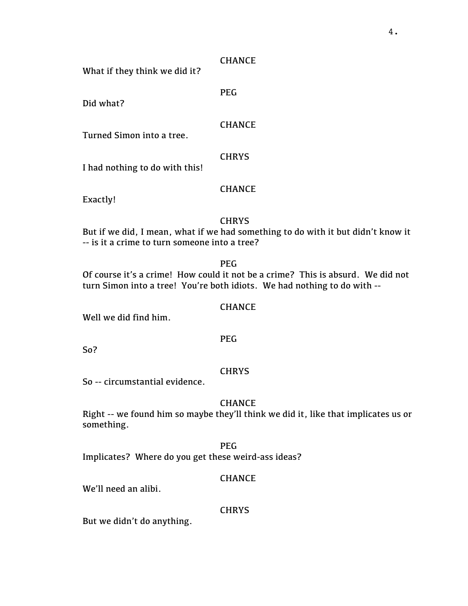|  | CHANCE |
|--|--------|
|--|--------|

PEG

What if they think we did it?

Did what?

CHANCE

Turned Simon into a tree.

**CHRYS** 

I had nothing to do with this!

## **CHANCE**

Exactly!

## **CHRYS**

But if we did, I mean, what if we had something to do with it but didn't know it -- is it a crime to turn someone into a tree?

PEG

Of course it's a crime! How could it not be a crime? This is absurd. We did not turn Simon into a tree! You're both idiots. We had nothing to do with --

## **CHANCE**

Well we did find him.

So?

## **CHRYS**

PEG

So -- circumstantial evidence.

## **CHANCE**

Right -- we found him so maybe they'll think we did it, like that implicates us or something.

PEG Implicates? Where do you get these weird-ass ideas?

## CHANCE

We'll need an alibi.

#### **CHRYS**

But we didn't do anything.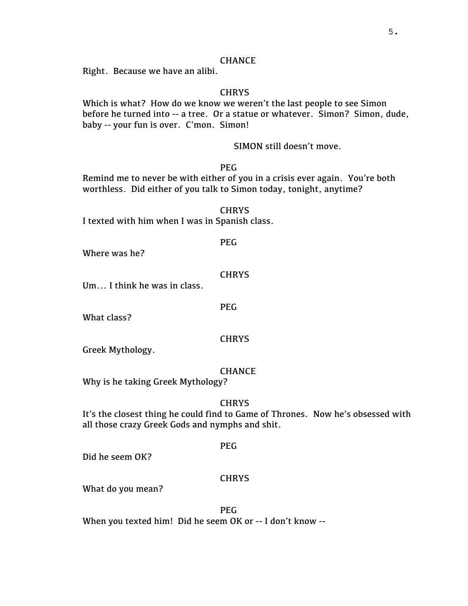#### CHANCE

Right. Because we have an alibi.

#### **CHRYS**

Which is what? How do we know we weren't the last people to see Simon before he turned into -- a tree. Or a statue or whatever. Simon? Simon, dude, baby -- your fun is over. C'mon. Simon!

SIMON still doesn't move.

## PEG

Remind me to never be with either of you in a crisis ever again. You're both worthless. Did either of you talk to Simon today, tonight, anytime?

**CHRYS** I texted with him when I was in Spanish class.

## PEG

Where was he?

#### **CHRYS**

PEG

Um... I think he was in class.

What class?

#### **CHRYS**

Greek Mythology.

#### **CHANCE**

Why is he taking Greek Mythology?

#### **CHRYS**

It's the closest thing he could find to Game of Thrones. Now he's obsessed with all those crazy Greek Gods and nymphs and shit.

Did he seem OK?

#### **CHRYS**

PEG

What do you mean?

PEG When you texted him! Did he seem OK or -- I don't know --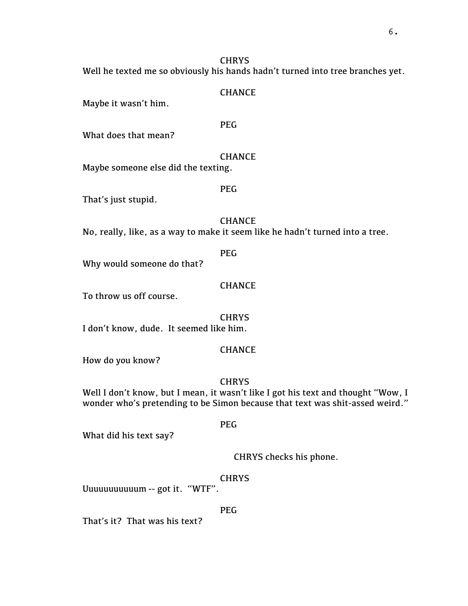Well he texted me so obviously his hands hadn't turned into tree branches yet.

## CHANCE

Maybe it wasn't him.

What does that mean?

**CHANCE** 

Maybe someone else did the texting.

That's just stupid.

#### CHANCE

PEG

No, really, like, as a way to make it seem like he hadn't turned into a tree.

## PEG

Why would someone do that?

## CHANCE

To throw us off course.

**CHRYS** I don't know, dude. It seemed like him.

## CHANCE

How do you know?

**CHRYS** 

Well I don't know, but I mean, it wasn't like I got his text and thought "Wow, I wonder who's pretending to be Simon because that text was shit-assed weird."

#### PEG

What did his text say?

CHRYS checks his phone.

## CHRYS

Uuuuuuuuuuum -- got it. "WTF".

## PEG

That's it? That was his text?

# PEG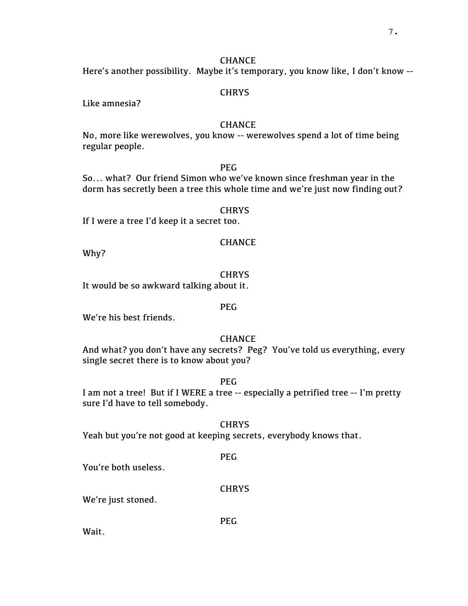## CHANCE

Here's another possibility. Maybe it's temporary, you know like, I don't know --

## **CHRYS**

Like amnesia?

#### CHANCE

No, more like werewolves, you know -- werewolves spend a lot of time being regular people.

## PEG

So... what? Our friend Simon who we've known since freshman year in the dorm has secretly been a tree this whole time and we're just now finding out?

#### **CHRYS**

If I were a tree I'd keep it a secret too.

Why?

#### **CHRYS**

CHANCE

It would be so awkward talking about it.

#### PEG

We're his best friends.

## **CHANCE**

And what? you don't have any secrets? Peg? You've told us everything, every single secret there is to know about you?

PEG

I am not a tree! But if I WERE a tree -- especially a petrified tree -- I'm pretty sure I'd have to tell somebody.

**CHRYS** 

Yeah but you're not good at keeping secrets, everybody knows that.

PEG

You're both useless.

#### **CHRYS**

We're just stoned.

PEG

Wait.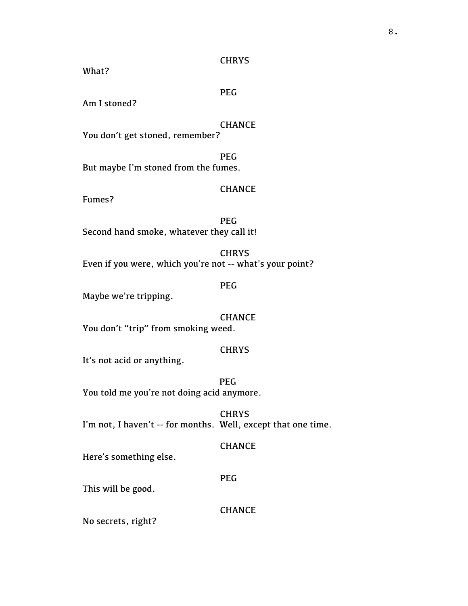What?

PEG

Am I stoned?

#### CHANCE

You don't get stoned, remember?

PEG But maybe I'm stoned from the fumes.

## **CHANCE**

Fumes?

PEG Second hand smoke, whatever they call it!

**CHRYS** Even if you were, which you're not -- what's your point?

#### PEG

Maybe we're tripping.

CHANCE You don't "trip" from smoking weed.

## **CHRYS**

It's not acid or anything.

PEG You told me you're not doing acid anymore.

**CHRYS** I'm not, I haven't -- for months. Well, except that one time.

## CHANCE

Here's something else.

#### PEG

This will be good.

CHANCE

No secrets, right?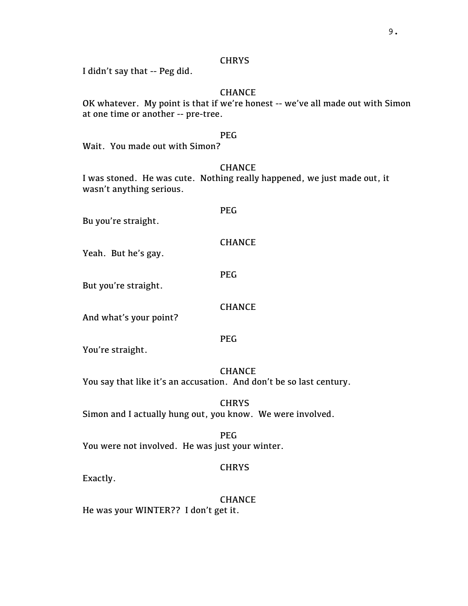I didn't say that -- Peg did.

## CHANCE

OK whatever. My point is that if we're honest -- we've all made out with Simon at one time or another -- pre-tree.

## PEG

Wait. You made out with Simon?

## **CHANCE**

I was stoned. He was cute. Nothing really happened, we just made out, it wasn't anything serious.

PEG

Bu you're straight.

## CHANCE

Yeah. But he's gay.

PEG

But you're straight.

#### **CHANCE**

And what's your point?

PEG

You're straight.

## **CHANCE**

You say that like it's an accusation. And don't be so last century.

**CHRYS** Simon and I actually hung out, you know. We were involved.

PEG You were not involved. He was just your winter.

## **CHRYS**

Exactly.

**CHANCE** He was your WINTER?? I don't get it.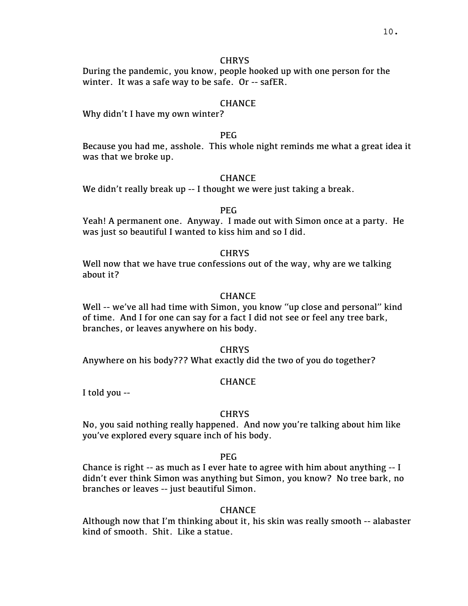During the pandemic, you know, people hooked up with one person for the winter. It was a safe way to be safe. Or -- safER.

## **CHANCE**

Why didn't I have my own winter?

## PEG

Because you had me, asshole. This whole night reminds me what a great idea it was that we broke up.

## CHANCE

We didn't really break up -- I thought we were just taking a break.

## PEG

Yeah! A permanent one. Anyway. I made out with Simon once at a party. He was just so beautiful I wanted to kiss him and so I did.

## **CHRYS**

Well now that we have true confessions out of the way, why are we talking about it?

## **CHANCE**

Well -- we've all had time with Simon, you know "up close and personal" kind of time. And I for one can say for a fact I did not see or feel any tree bark, branches, or leaves anywhere on his body.

#### **CHRYS**

Anywhere on his body??? What exactly did the two of you do together?

#### CHANCE

I told you --

## **CHRYS**

No, you said nothing really happened. And now you're talking about him like you've explored every square inch of his body.

## PEG

Chance is right -- as much as I ever hate to agree with him about anything -- I didn't ever think Simon was anything but Simon, you know? No tree bark, no branches or leaves -- just beautiful Simon.

## CHANCE

Although now that I'm thinking about it, his skin was really smooth -- alabaster kind of smooth. Shit. Like a statue.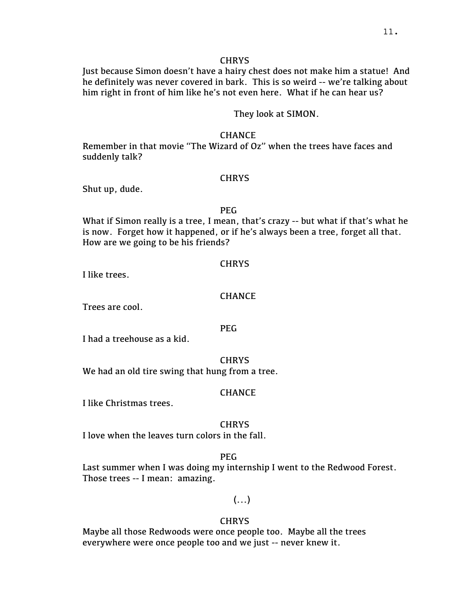Just because Simon doesn't have a hairy chest does not make him a statue! And he definitely was never covered in bark. This is so weird -- we're talking about him right in front of him like he's not even here. What if he can hear us?

## They look at SIMON.

#### **CHANCE**

Remember in that movie "The Wizard of Oz" when the trees have faces and suddenly talk?

#### CHRYS

Shut up, dude.

## PEG

What if Simon really is a tree, I mean, that's crazy -- but what if that's what he is now. Forget how it happened, or if he's always been a tree, forget all that. How are we going to be his friends?

#### **CHRYS**

I like trees.

## **CHANCE**

Trees are cool.

## PEG

I had a treehouse as a kid.

#### **CHRYS**

We had an old tire swing that hung from a tree.

#### **CHANCE**

I like Christmas trees.

#### **CHRYS**

I love when the leaves turn colors in the fall.

## PEG

Last summer when I was doing my internship I went to the Redwood Forest. Those trees -- I mean: amazing.

## $(\ldots)$

#### **CHRYS**

Maybe all those Redwoods were once people too. Maybe all the trees everywhere were once people too and we just -- never knew it.